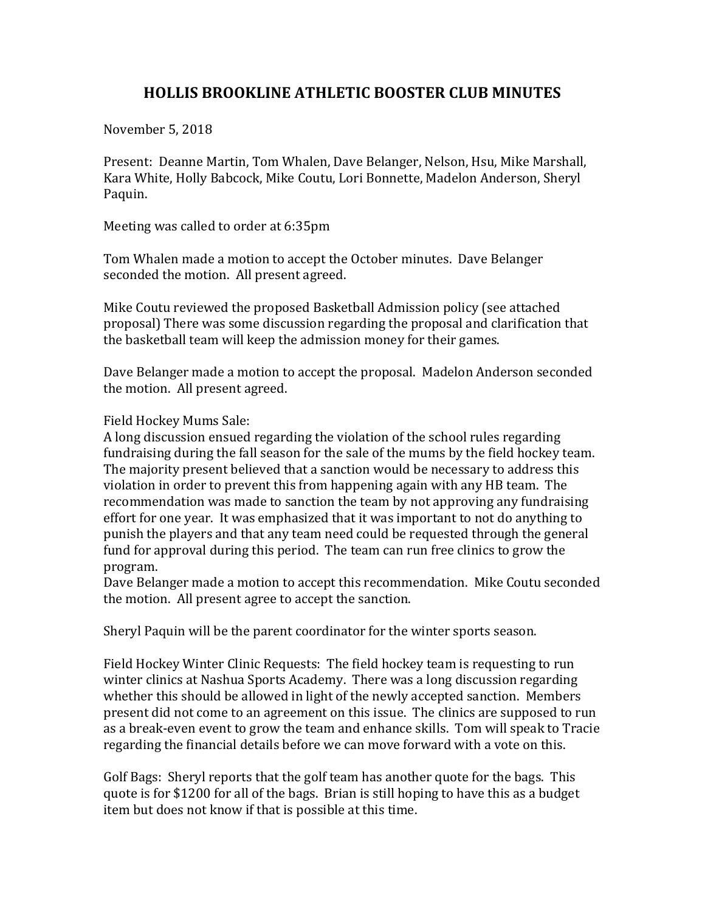## **HOLLIS BROOKLINE ATHLETIC BOOSTER CLUB MINUTES**

November 5, 2018

Present: Deanne Martin, Tom Whalen, Dave Belanger, Nelson, Hsu, Mike Marshall, Kara White, Holly Babcock, Mike Coutu, Lori Bonnette, Madelon Anderson, Sheryl Paquin.

Meeting was called to order at 6:35pm

Tom Whalen made a motion to accept the October minutes. Dave Belanger seconded the motion. All present agreed.

Mike Coutu reviewed the proposed Basketball Admission policy (see attached proposal) There was some discussion regarding the proposal and clarification that the basketball team will keep the admission money for their games.

Dave Belanger made a motion to accept the proposal. Madelon Anderson seconded the motion. All present agreed.

Field Hockey Mums Sale:

A long discussion ensued regarding the violation of the school rules regarding fundraising during the fall season for the sale of the mums by the field hockey team. The majority present believed that a sanction would be necessary to address this violation in order to prevent this from happening again with any HB team. The recommendation was made to sanction the team by not approving any fundraising effort for one year. It was emphasized that it was important to not do anything to punish the players and that any team need could be requested through the general fund for approval during this period. The team can run free clinics to grow the program.

Dave Belanger made a motion to accept this recommendation. Mike Coutu seconded the motion. All present agree to accept the sanction.

Sheryl Paquin will be the parent coordinator for the winter sports season.

Field Hockey Winter Clinic Requests: The field hockey team is requesting to run winter clinics at Nashua Sports Academy. There was a long discussion regarding whether this should be allowed in light of the newly accepted sanction. Members present did not come to an agreement on this issue. The clinics are supposed to run as a break-even event to grow the team and enhance skills. Tom will speak to Tracie regarding the financial details before we can move forward with a vote on this.

Golf Bags: Sheryl reports that the golf team has another quote for the bags. This quote is for \$1200 for all of the bags. Brian is still hoping to have this as a budget item but does not know if that is possible at this time.